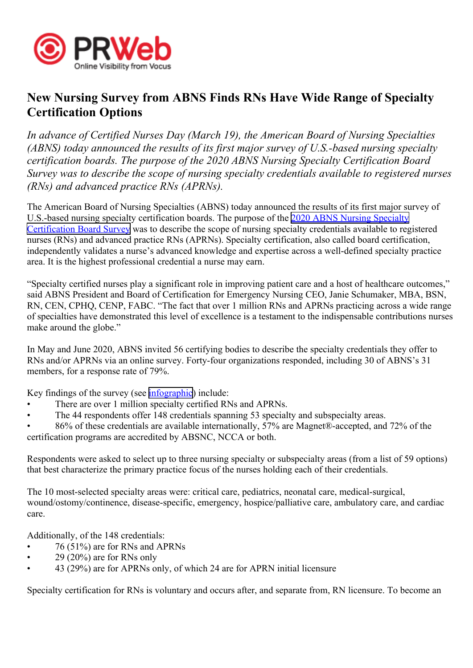

## **New Nursing Survey from ABNS Finds RNs Have Wide Range of Specialty Certification Options**

*In advance of Certified Nurses Day (March 19), the American Board of Nursing Specialties (ABNS) today announced the results of its first major survey of U.S.-based nursing specialty certification boards. The purpose of the 2020 ABNS Nursing Specialty Certification Board Survey was to describe the scope of nursing specialty credentials available to registered nurses (RNs) and advanced practice RNs (APRNs).*

The American Board of Nursing Specialties (ABNS) today announced the results of its first major survey of U.S.-based nursing specialty certification boards. The purpose of the 2020 ABNS Nursing [Specialty](http://www.nursingcertification.org/resources/Documents/research/infographic.pdf) [Certification](http://www.nursingcertification.org/resources/Documents/research/infographic.pdf) Board Survey was to describe the scope of nursing specialty credentials available to registered nurses (RNs) and advanced practice RNs (APRNs). Specialty certification, also called board certification, independently validates <sup>a</sup> nurse's advanced knowledge and expertise across <sup>a</sup> well-defined specialty practice area. It is the highest professional credential <sup>a</sup> nurse may earn.

"Specialty certified nurses play <sup>a</sup> significant role in improving patient care and <sup>a</sup> host of healthcare outcomes," said ABNS President and Board of Certification for Emergency Nursing CEO, Janie Schumaker, MBA, BSN, RN, CEN, CPHQ, CENP, FABC. "The fact that over 1 million RNs and APRNs practicing across <sup>a</sup> wide range of specialties have demonstrated this level of excellence is <sup>a</sup> testament to the indispensable contributions nurses make around the globe."

In May and June 2020, ABNS invited 56 certifying bodies to describe the specialty credentials they offer to RNs and/or APRNs via an online survey. Forty-four organizations responded, including 30 of ABNS's 31 members, for <sup>a</sup> response rate of 79%.

Key findings of the survey (see [infographic\)](http://www.nursingcertification.org/resources/Documents/research/infographic.pdf) include:

- •There are over 1 million specialty certified RNs and APRNs.
- •The 44 respondents offer 148 credentials spanning 53 specialty and subspecialty areas.
- • 86% of these credentials are available internationally, 57% are Magnet®-accepted, and 72% of the certification programs are accredited by ABSNC, NCCA or both.

Respondents were asked to select up to three nursing specialty or subspecialty areas (from <sup>a</sup> list of 59 options) that best characterize the primary practice focus of the nurses holding each of their credentials.

The 10 most-selected specialty areas were: critical care, pediatrics, neonatal care, medical-surgical, wound/ostomy/continence, disease-specific, emergency, hospice/palliative care, ambulatory care, and cardiac care.

Additionally, of the 148 credentials:

- •76 (51%) are for RNs and APRNs
- •29 (20%) are for RNs only
- •43 (29%) are for APRNs only, of which 24 are for APRN initial licensure

Specialty certification for RNs is voluntary and occurs after, and separate from, RN licensure. To become an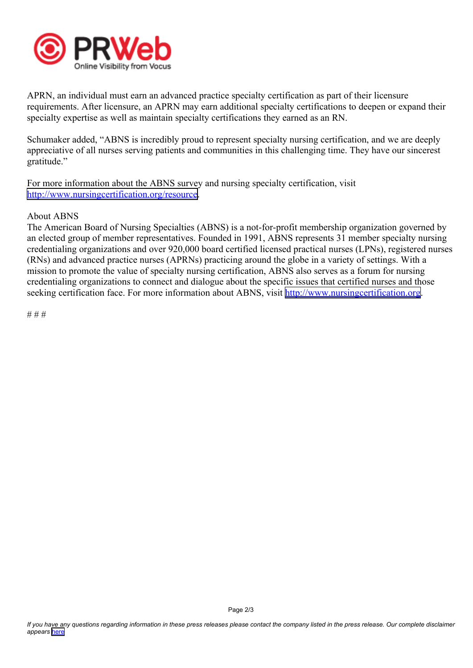

APRN, an individual must earn an advanced practice specialty certification as par<sup>t</sup> of their licensure requirements. After licensure, an APRN may earn additional specialty certifications to deepen or expand their specialty expertise as well as maintain specialty certifications they earned as an RN.

Schumaker added, "ABNS is incredibly proud to represen<sup>t</sup> specialty nursing certification, and we are deeply appreciative of all nurses serving patients and communities in this challenging time. They have our sincerest gratitude."

For more information about the ABNS survey and nursing specialty certification, visit <http://www.nursingcertification.org/resource>.

## About ABNS

The American Board of Nursing Specialties (ABNS) is <sup>a</sup> not-for-profit membership organization governed by an elected group of member representatives. Founded in 1991, ABNS represents 31 member specialty nursing credentialing organizations and over 920,000 board certified licensed practical nurses (LPNs), registered nurses (RNs) and advanced practice nurses (APRNs) practicing around the globe in <sup>a</sup> variety of settings. With <sup>a</sup> mission to promote the value of specialty nursing certification, ABNS also serves as <sup>a</sup> forum for nursing credentialing organizations to connect and dialogue about the specific issues that certified nurses and those seeking certification face. For more information about ABNS, visit [http://www.nursingcertification.org](http://www.nursingcertification.org/).

# # #